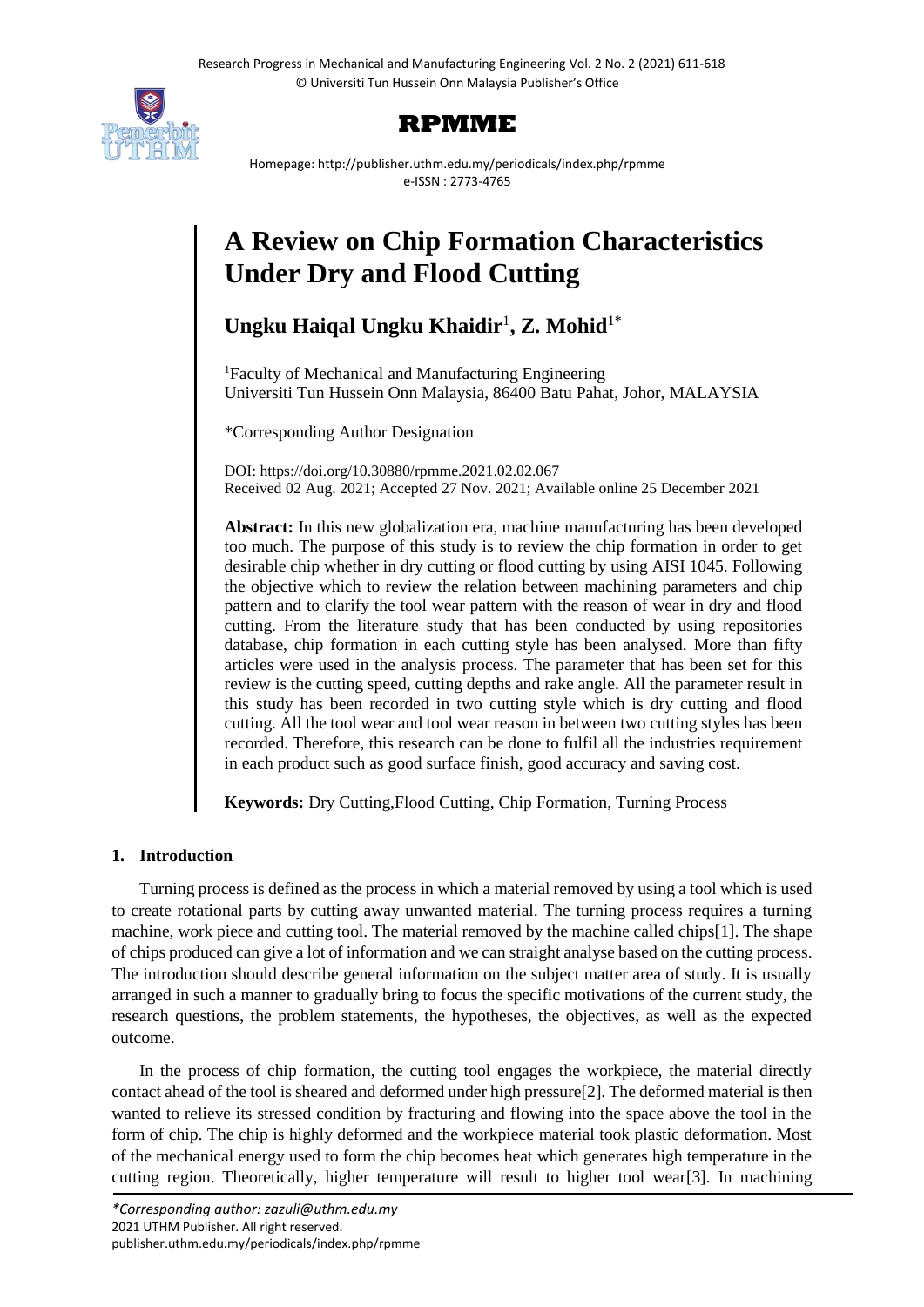

# **RPMME**

Homepage: http://publisher.uthm.edu.my/periodicals/index.php/rpmme e-ISSN : 2773-4765

# **A Review on Chip Formation Characteristics Under Dry and Flood Cutting**

# **Ungku Haiqal Ungku Khaidir**<sup>1</sup> **, Z. Mohid**1\*

<sup>1</sup>Faculty of Mechanical and Manufacturing Engineering Universiti Tun Hussein Onn Malaysia, 86400 Batu Pahat, Johor, MALAYSIA

\*Corresponding Author Designation

DOI: https://doi.org/10.30880/rpmme.2021.02.02.067 Received 02 Aug. 2021; Accepted 27 Nov. 2021; Available online 25 December 2021

**Abstract:** In this new globalization era, machine manufacturing has been developed too much. The purpose of this study is to review the chip formation in order to get desirable chip whether in dry cutting or flood cutting by using AISI 1045. Following the objective which to review the relation between machining parameters and chip pattern and to clarify the tool wear pattern with the reason of wear in dry and flood cutting. From the literature study that has been conducted by using repositories database, chip formation in each cutting style has been analysed. More than fifty articles were used in the analysis process. The parameter that has been set for this review is the cutting speed, cutting depths and rake angle. All the parameter result in this study has been recorded in two cutting style which is dry cutting and flood cutting. All the tool wear and tool wear reason in between two cutting styles has been recorded. Therefore, this research can be done to fulfil all the industries requirement in each product such as good surface finish, good accuracy and saving cost.

**Keywords:** Dry Cutting,Flood Cutting, Chip Formation, Turning Process

# **1. Introduction**

Turning process is defined as the process in which a material removed by using a tool which is used to create rotational parts by cutting away unwanted material. The turning process requires a turning machine, work piece and cutting tool. The material removed by the machine called chips[1]. The shape of chips produced can give a lot of information and we can straight analyse based on the cutting process. The introduction should describe general information on the subject matter area of study. It is usually arranged in such a manner to gradually bring to focus the specific motivations of the current study, the research questions, the problem statements, the hypotheses, the objectives, as well as the expected outcome.

In the process of chip formation, the cutting tool engages the workpiece, the material directly contact ahead of the tool is sheared and deformed under high pressure[2]. The deformed material is then wanted to relieve its stressed condition by fracturing and flowing into the space above the tool in the form of chip. The chip is highly deformed and the workpiece material took plastic deformation. Most of the mechanical energy used to form the chip becomes heat which generates high temperature in the cutting region. Theoretically, higher temperature will result to higher tool wear[3]. In machining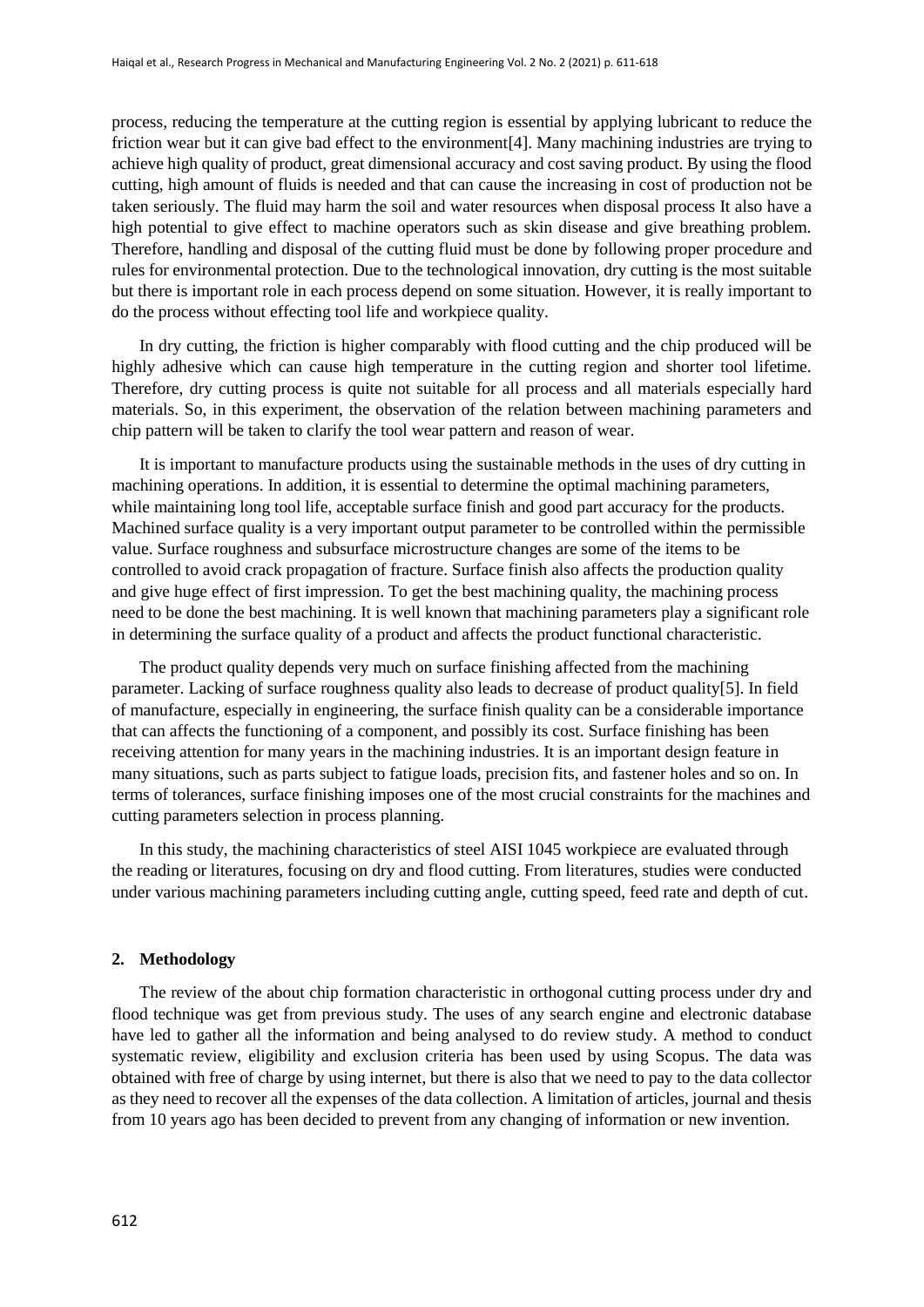process, reducing the temperature at the cutting region is essential by applying lubricant to reduce the friction wear but it can give bad effect to the environment[4]. Many machining industries are trying to achieve high quality of product, great dimensional accuracy and cost saving product. By using the flood cutting, high amount of fluids is needed and that can cause the increasing in cost of production not be taken seriously. The fluid may harm the soil and water resources when disposal process It also have a high potential to give effect to machine operators such as skin disease and give breathing problem. Therefore, handling and disposal of the cutting fluid must be done by following proper procedure and rules for environmental protection. Due to the technological innovation, dry cutting is the most suitable but there is important role in each process depend on some situation. However, it is really important to do the process without effecting tool life and workpiece quality.

In dry cutting, the friction is higher comparably with flood cutting and the chip produced will be highly adhesive which can cause high temperature in the cutting region and shorter tool lifetime. Therefore, dry cutting process is quite not suitable for all process and all materials especially hard materials. So, in this experiment, the observation of the relation between machining parameters and chip pattern will be taken to clarify the tool wear pattern and reason of wear.

It is important to manufacture products using the sustainable methods in the uses of dry cutting in machining operations. In addition, it is essential to determine the optimal machining parameters, while maintaining long tool life, acceptable surface finish and good part accuracy for the products. Machined surface quality is a very important output parameter to be controlled within the permissible value. Surface roughness and subsurface microstructure changes are some of the items to be controlled to avoid crack propagation of fracture. Surface finish also affects the production quality and give huge effect of first impression. To get the best machining quality, the machining process need to be done the best machining. It is well known that machining parameters play a significant role in determining the surface quality of a product and affects the product functional characteristic.

The product quality depends very much on surface finishing affected from the machining parameter. Lacking of surface roughness quality also leads to decrease of product quality[5]. In field of manufacture, especially in engineering, the surface finish quality can be a considerable importance that can affects the functioning of a component, and possibly its cost. Surface finishing has been receiving attention for many years in the machining industries. It is an important design feature in many situations, such as parts subject to fatigue loads, precision fits, and fastener holes and so on. In terms of tolerances, surface finishing imposes one of the most crucial constraints for the machines and cutting parameters selection in process planning.

In this study, the machining characteristics of steel AISI 1045 workpiece are evaluated through the reading or literatures, focusing on dry and flood cutting. From literatures, studies were conducted under various machining parameters including cutting angle, cutting speed, feed rate and depth of cut.

#### **2. Methodology**

The review of the about chip formation characteristic in orthogonal cutting process under dry and flood technique was get from previous study. The uses of any search engine and electronic database have led to gather all the information and being analysed to do review study. A method to conduct systematic review, eligibility and exclusion criteria has been used by using Scopus. The data was obtained with free of charge by using internet, but there is also that we need to pay to the data collector as they need to recover all the expenses of the data collection. A limitation of articles, journal and thesis from 10 years ago has been decided to prevent from any changing of information or new invention.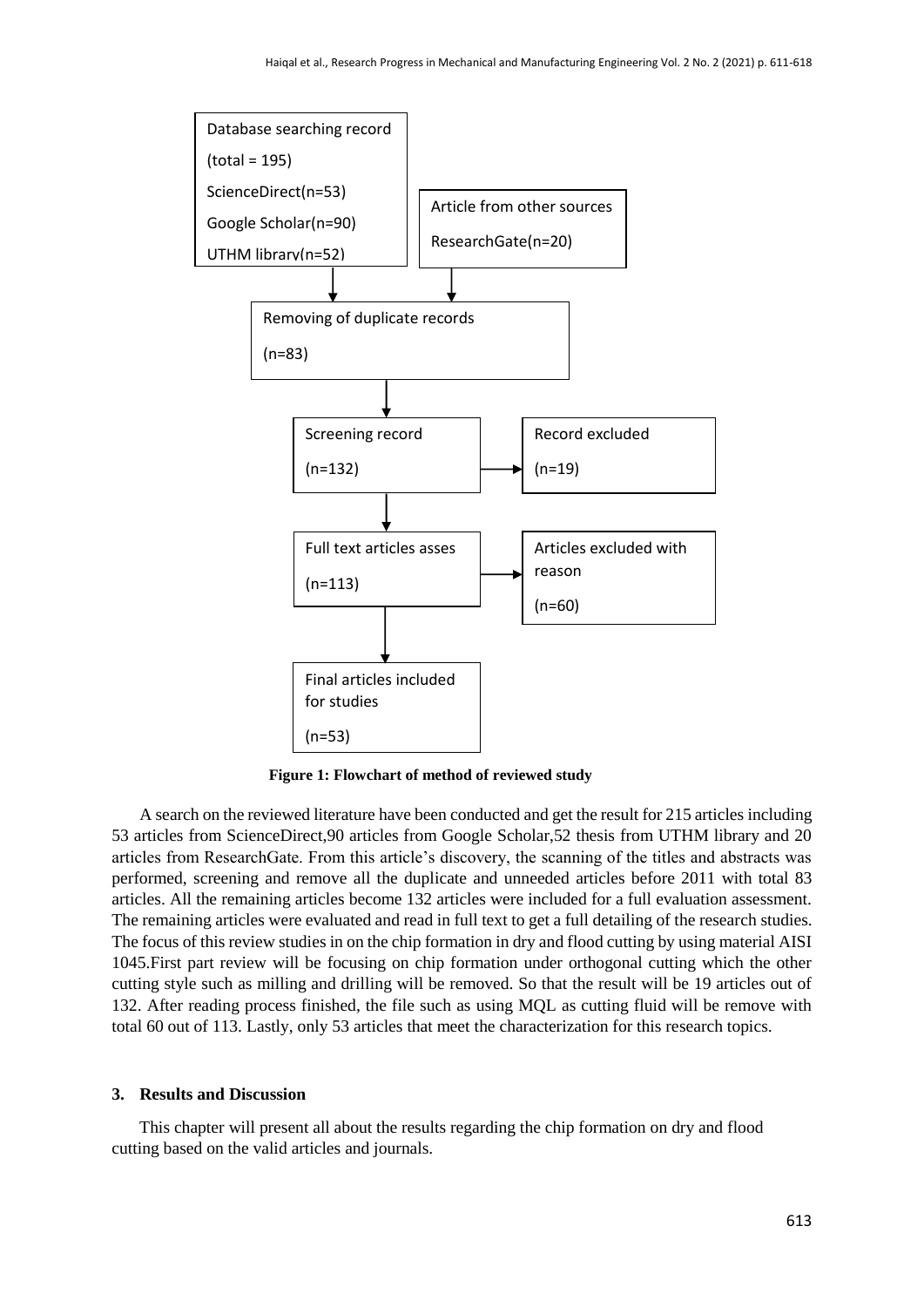

**Figure 1: Flowchart of method of reviewed study**

A search on the reviewed literature have been conducted and get the result for 215 articles including 53 articles from ScienceDirect,90 articles from Google Scholar,52 thesis from UTHM library and 20 articles from ResearchGate. From this article's discovery, the scanning of the titles and abstracts was performed, screening and remove all the duplicate and unneeded articles before 2011 with total 83 articles. All the remaining articles become 132 articles were included for a full evaluation assessment. The remaining articles were evaluated and read in full text to get a full detailing of the research studies. The focus of this review studies in on the chip formation in dry and flood cutting by using material AISI 1045.First part review will be focusing on chip formation under orthogonal cutting which the other cutting style such as milling and drilling will be removed. So that the result will be 19 articles out of 132. After reading process finished, the file such as using MQL as cutting fluid will be remove with total 60 out of 113. Lastly, only 53 articles that meet the characterization for this research topics.

## **3. Results and Discussion**

This chapter will present all about the results regarding the chip formation on dry and flood cutting based on the valid articles and journals.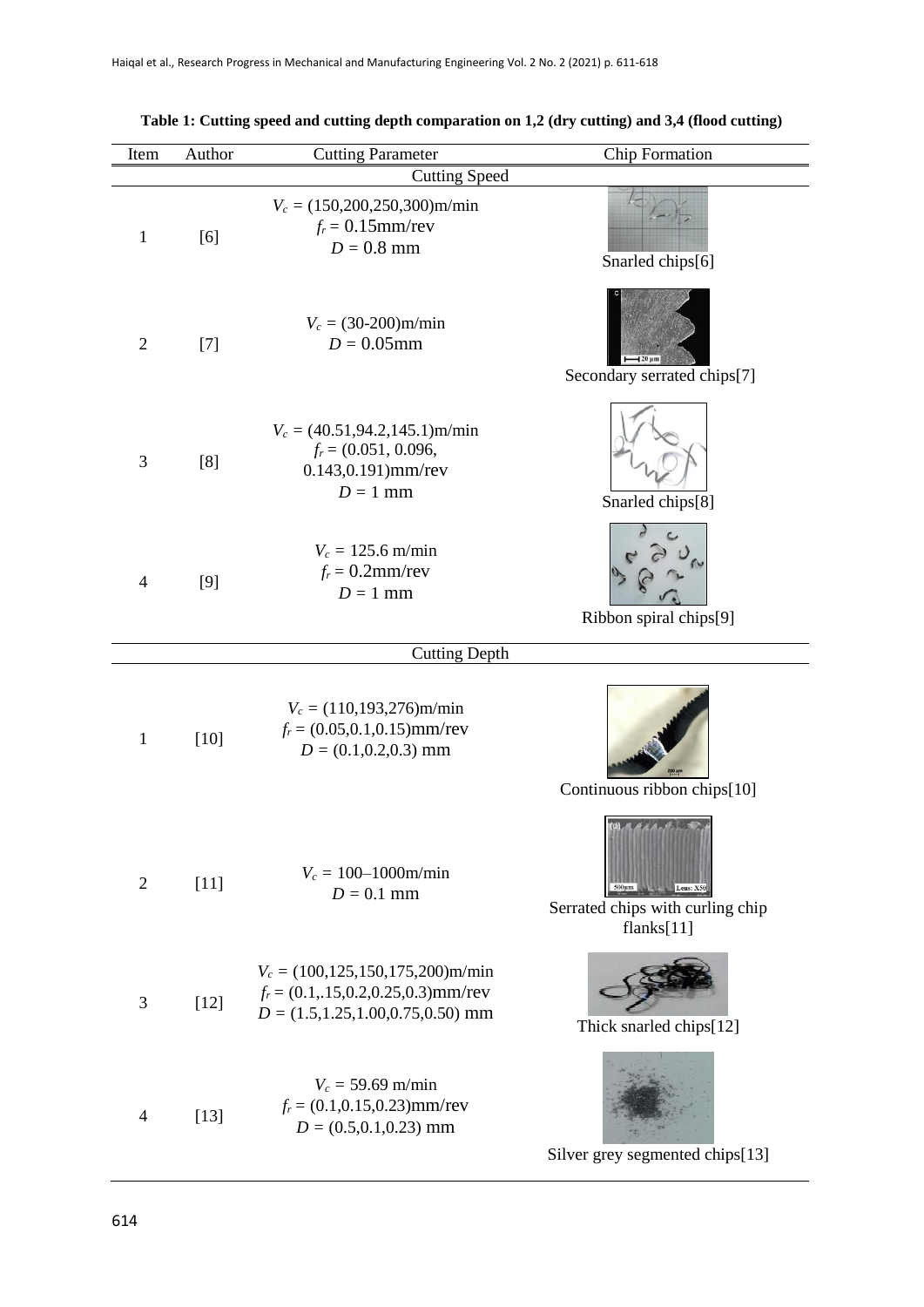| Item           | Author | <b>Cutting Parameter</b>                                                                                                      | Chip Formation                                                                |
|----------------|--------|-------------------------------------------------------------------------------------------------------------------------------|-------------------------------------------------------------------------------|
|                |        | <b>Cutting Speed</b>                                                                                                          |                                                                               |
| $\mathbf{1}$   | [6]    | $V_c = (150,200,250,300)$ m/min<br>$f_r = 0.15$ mm/rev<br>$D = 0.8$ mm                                                        | Snarled chips[6]                                                              |
| $\overline{2}$ | $[7]$  | $V_c = (30-200)$ m/min<br>$D = 0.05$ mm                                                                                       | $-120 \mu m$<br>Secondary serrated chips[7]                                   |
| 3              | [8]    | $V_c = (40.51, 94.2, 145.1)$ m/min<br>$f_r = (0.051, 0.096,$<br>0.143,0.191)mm/rev<br>$D = 1$ mm                              | Snarled chips[8]                                                              |
| $\overline{4}$ | [9]    | $V_c = 125.6$ m/min<br>$f_r = 0.2$ mm/rev<br>$D=1$ mm                                                                         | Ribbon spiral chips[9]                                                        |
|                |        | <b>Cutting Depth</b>                                                                                                          |                                                                               |
| $\mathbf{1}$   | $[10]$ | $V_c = (110, 193, 276)$ m/min<br>$f_r = (0.05, 0.1, 0.15)$ mm/rev<br>$D = (0.1, 0.2, 0.3)$ mm                                 | Continuous ribbon chips[10]                                                   |
| $\mathbf{2}$   | $[11]$ | $V_c = 100 - 1000$ m/min<br>$D = 0.1$ mm                                                                                      | $500 \mu m$<br>Lens: X50<br>Serrated chips with curling chip<br>flanks $[11]$ |
| 3              | $[12]$ | $V_c = (100, 125, 150, 175, 200)$ m/min<br>$f_r = (0.1, 15, 0.2, 0.25, 0.3)$ mm/rev<br>$D = (1.5, 1.25, 1.00, 0.75, 0.50)$ mm | Thick snarled chips[12]                                                       |
| $\overline{4}$ | $[13]$ | $V_c = 59.69$ m/min<br>$f_r = (0.1, 0.15, 0.23)$ mm/rev<br>$D = (0.5, 0.1, 0.23)$ mm                                          | Silver grey segmented chips[13]                                               |

# **Table 1: Cutting speed and cutting depth comparation on 1,2 (dry cutting) and 3,4 (flood cutting)**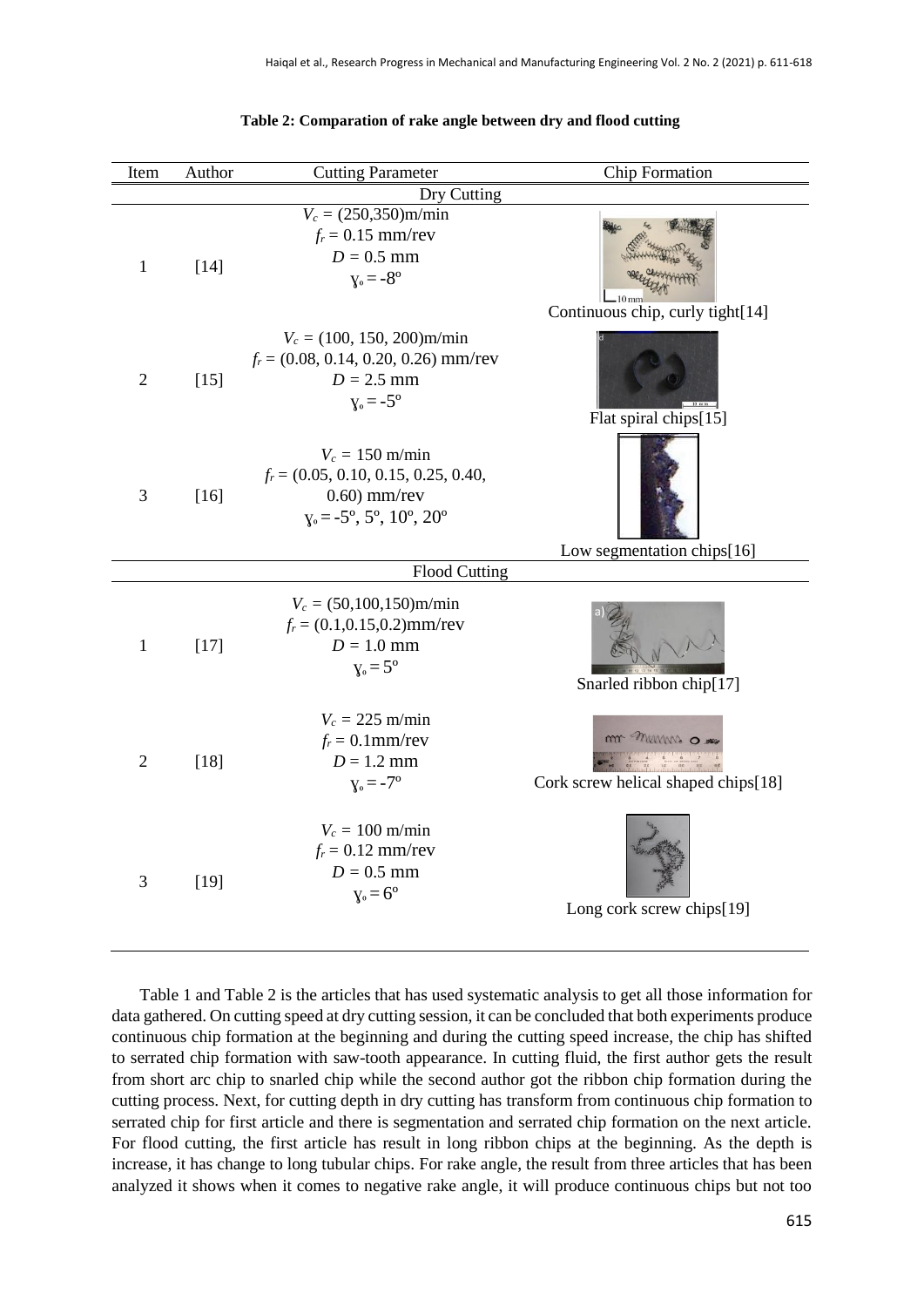| Item           | Author | <b>Cutting Parameter</b>                                                                                                        | Chip Formation                                              |  |  |  |
|----------------|--------|---------------------------------------------------------------------------------------------------------------------------------|-------------------------------------------------------------|--|--|--|
| Dry Cutting    |        |                                                                                                                                 |                                                             |  |  |  |
| $\mathbf{1}$   | $[14]$ | $V_c = (250,350)$ m/min<br>$f_r = 0.15$ mm/rev<br>$D = 0.5$ mm<br>$y_0 = -8^\circ$                                              | Continuous chip, curly tight[14]                            |  |  |  |
| $\overline{2}$ | $[15]$ | $V_c = (100, 150, 200)$ m/min<br>$f_r = (0.08, 0.14, 0.20, 0.26)$ mm/rev<br>$D = 2.5$ mm<br>$y_0 = -5^\circ$                    | Flat spiral chips[15]                                       |  |  |  |
| 3              | $[16]$ | $V_c = 150$ m/min<br>$f_r = (0.05, 0.10, 0.15, 0.25, 0.40,$<br>$0.60$ ) mm/rev<br>$y_0 = -5^\circ, 5^\circ, 10^\circ, 20^\circ$ |                                                             |  |  |  |
|                |        | <b>Flood Cutting</b>                                                                                                            | Low segmentation chips[16]                                  |  |  |  |
|                |        |                                                                                                                                 |                                                             |  |  |  |
| $\mathbf{1}$   | $[17]$ | $V_c = (50,100,150)$ m/min<br>$f_r = (0.1, 0.15, 0.2)$ mm/rev<br>$D = 1.0$ mm<br>$y_0 = 5^{\circ}$                              | Snarled ribbon chip[17]                                     |  |  |  |
| $\overline{2}$ | $[18]$ | $V_c = 225$ m/min<br>$f_r = 0.1$ mm/rev<br>$D = 1.2$ mm<br>$y_0 = -7^{\circ}$                                                   | m <sup>m</sup> mms o<br>Cork screw helical shaped chips[18] |  |  |  |
| 3              | $[19]$ | $V_c = 100$ m/min<br>$f_r = 0.12$ mm/rev<br>$D = 0.5$ mm<br>$y_0 = 6^\circ$                                                     | Long cork screw chips[19]                                   |  |  |  |

#### **Table 2: Comparation of rake angle between dry and flood cutting**

Table 1 and Table 2 is the articles that has used systematic analysis to get all those information for data gathered. On cutting speed at dry cutting session, it can be concluded that both experiments produce continuous chip formation at the beginning and during the cutting speed increase, the chip has shifted to serrated chip formation with saw-tooth appearance. In cutting fluid, the first author gets the result from short arc chip to snarled chip while the second author got the ribbon chip formation during the cutting process. Next, for cutting depth in dry cutting has transform from continuous chip formation to serrated chip for first article and there is segmentation and serrated chip formation on the next article. For flood cutting, the first article has result in long ribbon chips at the beginning. As the depth is increase, it has change to long tubular chips. For rake angle, the result from three articles that has been analyzed it shows when it comes to negative rake angle, it will produce continuous chips but not too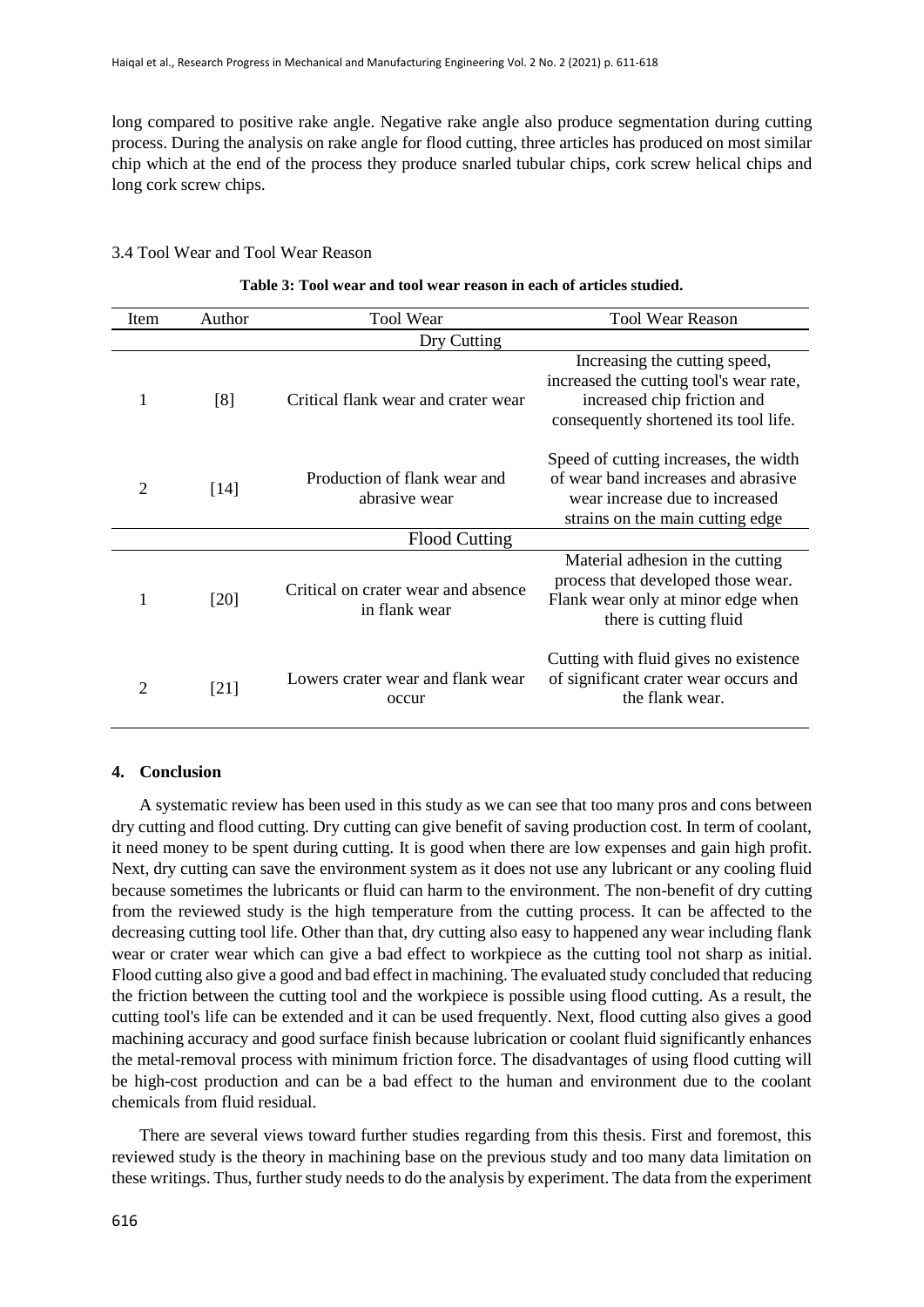long compared to positive rake angle. Negative rake angle also produce segmentation during cutting process. During the analysis on rake angle for flood cutting, three articles has produced on most similar chip which at the end of the process they produce snarled tubular chips, cork screw helical chips and long cork screw chips.

#### 3.4 Tool Wear and Tool Wear Reason

| Item                 | Author | Tool Wear                                            | <b>Tool Wear Reason</b>                                                                                                                            |  |  |
|----------------------|--------|------------------------------------------------------|----------------------------------------------------------------------------------------------------------------------------------------------------|--|--|
| Dry Cutting          |        |                                                      |                                                                                                                                                    |  |  |
| 1                    | [8]    | Critical flank wear and crater wear                  | Increasing the cutting speed,<br>increased the cutting tool's wear rate,<br>increased chip friction and<br>consequently shortened its tool life.   |  |  |
| 2                    | [14]   | Production of flank wear and<br>abrasive wear        | Speed of cutting increases, the width<br>of wear band increases and abrasive<br>wear increase due to increased<br>strains on the main cutting edge |  |  |
| <b>Flood Cutting</b> |        |                                                      |                                                                                                                                                    |  |  |
|                      | [20]   | Critical on crater wear and absence<br>in flank wear | Material adhesion in the cutting<br>process that developed those wear.<br>Flank wear only at minor edge when<br>there is cutting fluid             |  |  |
| 2                    | [21]   | Lowers crater wear and flank wear<br>occur           | Cutting with fluid gives no existence<br>of significant crater wear occurs and<br>the flank wear.                                                  |  |  |

#### **Table 3: Tool wear and tool wear reason in each of articles studied.**

#### **4. Conclusion**

A systematic review has been used in this study as we can see that too many pros and cons between dry cutting and flood cutting. Dry cutting can give benefit of saving production cost. In term of coolant, it need money to be spent during cutting. It is good when there are low expenses and gain high profit. Next, dry cutting can save the environment system as it does not use any lubricant or any cooling fluid because sometimes the lubricants or fluid can harm to the environment. The non-benefit of dry cutting from the reviewed study is the high temperature from the cutting process. It can be affected to the decreasing cutting tool life. Other than that, dry cutting also easy to happened any wear including flank wear or crater wear which can give a bad effect to workpiece as the cutting tool not sharp as initial. Flood cutting also give a good and bad effect in machining. The evaluated study concluded that reducing the friction between the cutting tool and the workpiece is possible using flood cutting. As a result, the cutting tool's life can be extended and it can be used frequently. Next, flood cutting also gives a good machining accuracy and good surface finish because lubrication or coolant fluid significantly enhances the metal-removal process with minimum friction force. The disadvantages of using flood cutting will be high-cost production and can be a bad effect to the human and environment due to the coolant chemicals from fluid residual.

There are several views toward further studies regarding from this thesis. First and foremost, this reviewed study is the theory in machining base on the previous study and too many data limitation on these writings. Thus, further study needs to do the analysis by experiment. The data from the experiment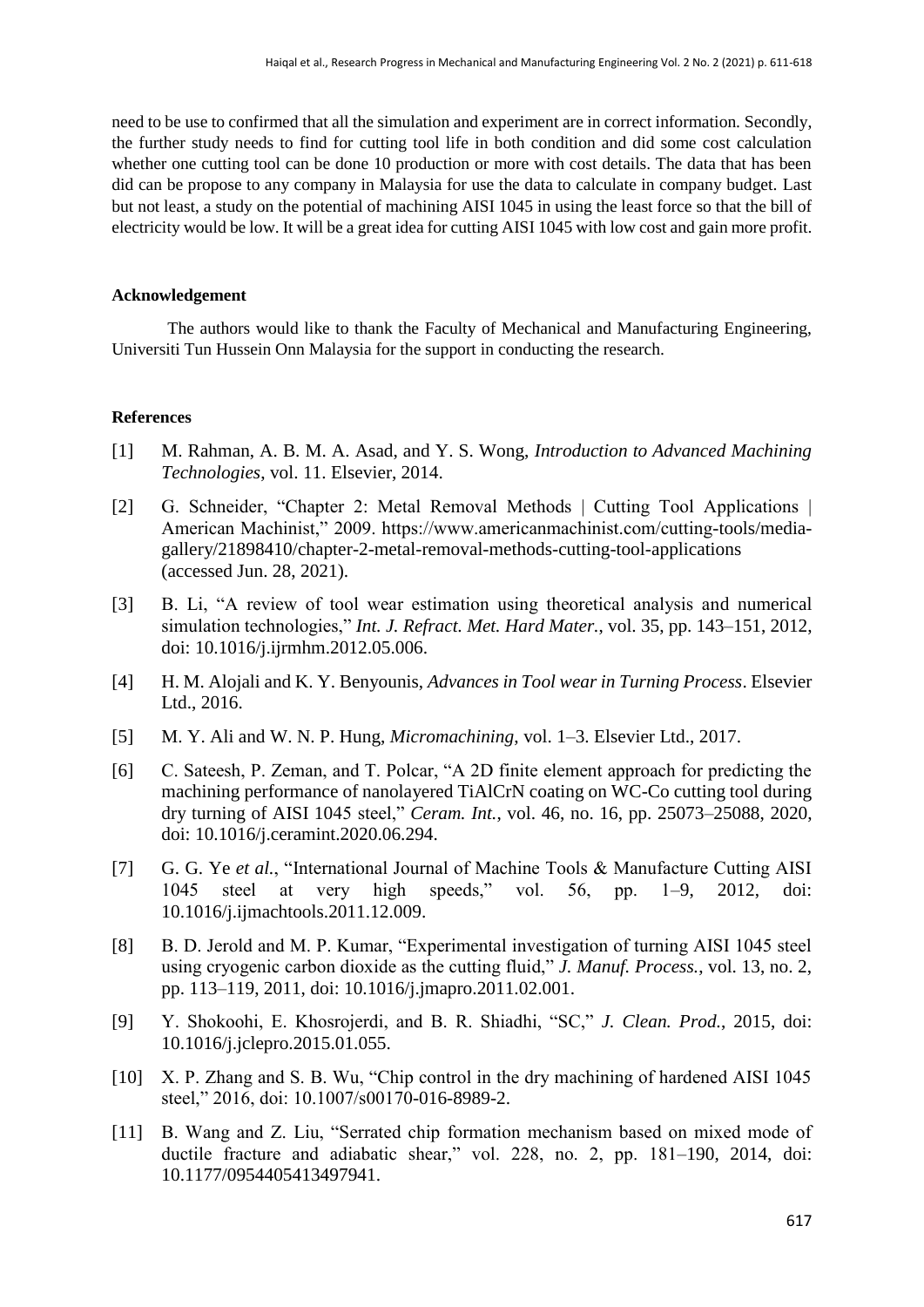need to be use to confirmed that all the simulation and experiment are in correct information. Secondly, the further study needs to find for cutting tool life in both condition and did some cost calculation whether one cutting tool can be done 10 production or more with cost details. The data that has been did can be propose to any company in Malaysia for use the data to calculate in company budget. Last but not least, a study on the potential of machining AISI 1045 in using the least force so that the bill of electricity would be low. It will be a great idea for cutting AISI 1045 with low cost and gain more profit.

## **Acknowledgement**

The authors would like to thank the Faculty of Mechanical and Manufacturing Engineering, Universiti Tun Hussein Onn Malaysia for the support in conducting the research.

## **References**

- [1] M. Rahman, A. B. M. A. Asad, and Y. S. Wong, *Introduction to Advanced Machining Technologies*, vol. 11. Elsevier, 2014.
- [2] G. Schneider, "Chapter 2: Metal Removal Methods | Cutting Tool Applications | American Machinist," 2009. https://www.americanmachinist.com/cutting-tools/mediagallery/21898410/chapter-2-metal-removal-methods-cutting-tool-applications (accessed Jun. 28, 2021).
- [3] B. Li, "A review of tool wear estimation using theoretical analysis and numerical simulation technologies," *Int. J. Refract. Met. Hard Mater.*, vol. 35, pp. 143–151, 2012, doi: 10.1016/j.ijrmhm.2012.05.006.
- [4] H. M. Alojali and K. Y. Benyounis, *Advances in Tool wear in Turning Process*. Elsevier Ltd., 2016.
- [5] M. Y. Ali and W. N. P. Hung, *Micromachining*, vol. 1–3. Elsevier Ltd., 2017.
- [6] C. Sateesh, P. Zeman, and T. Polcar, "A 2D finite element approach for predicting the machining performance of nanolayered TiAlCrN coating on WC-Co cutting tool during dry turning of AISI 1045 steel," *Ceram. Int.*, vol. 46, no. 16, pp. 25073–25088, 2020, doi: 10.1016/j.ceramint.2020.06.294.
- [7] G. G. Ye *et al.*, "International Journal of Machine Tools & Manufacture Cutting AISI 1045 steel at very high speeds," vol. 56, pp. 1–9, 2012, doi: 10.1016/j.ijmachtools.2011.12.009.
- [8] B. D. Jerold and M. P. Kumar, "Experimental investigation of turning AISI 1045 steel using cryogenic carbon dioxide as the cutting fluid," *J. Manuf. Process.*, vol. 13, no. 2, pp. 113–119, 2011, doi: 10.1016/j.jmapro.2011.02.001.
- [9] Y. Shokoohi, E. Khosrojerdi, and B. R. Shiadhi, "SC," *J. Clean. Prod.*, 2015, doi: 10.1016/j.jclepro.2015.01.055.
- [10] X. P. Zhang and S. B. Wu, "Chip control in the dry machining of hardened AISI 1045 steel," 2016, doi: 10.1007/s00170-016-8989-2.
- [11] B. Wang and Z. Liu, "Serrated chip formation mechanism based on mixed mode of ductile fracture and adiabatic shear," vol. 228, no. 2, pp. 181–190, 2014, doi: 10.1177/0954405413497941.